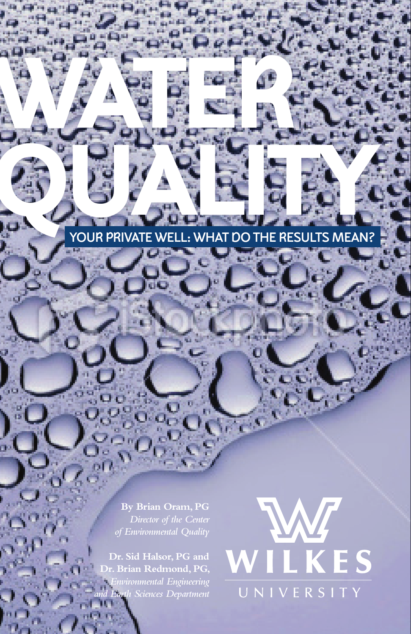# YOUR PRIVATE WELL: WHAT DO THE RESULTS MEAN?

2540

**By Brian Oram, PG**

WATER OF OUR

**Dr. Sid Halsor, PG and Dr. Brian Redmond, PG,** *Environmental Engineering and Earth Sciences Department*

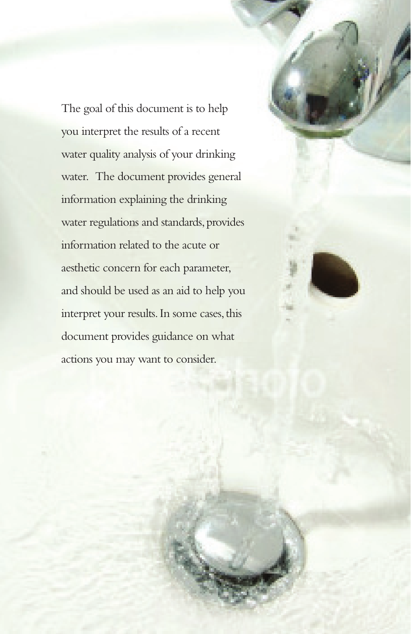The goal of this document is to help you interpret the results of a recent water quality analysis of your drinking water. The document provides general information explaining the drinking water regulations and standards, provides information related to the acute or aesthetic concern for each parameter, and should be used as an aid to help you interpret your results. In some cases, this document provides guidance on what actions you may want to consider.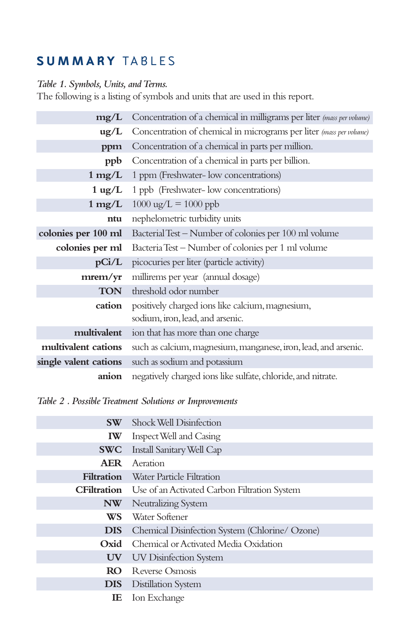# **SUMMARY TABLES**

### *Table 1. Symbols, Units, and Terms.*

The following is a listing of symbols and units that are used in this report.

| mg/L                  | Concentration of a chemical in milligrams per liter (mass per volume)                |  |
|-----------------------|--------------------------------------------------------------------------------------|--|
| $\text{ug/L}$         | Concentration of chemical in micrograms per liter (mass per volume)                  |  |
| ppm                   | Concentration of a chemical in parts per million.                                    |  |
| ppb                   | Concentration of a chemical in parts per billion.                                    |  |
| $1 \text{ mg/L}$      | 1 ppm (Freshwater- low concentrations)                                               |  |
| $1 \text{ ug/L}$      | 1 ppb (Freshwater- low concentrations)                                               |  |
|                       | 1 $mg/L$ 1000 ug/L = 1000 ppb                                                        |  |
| ntu                   | nephelometric turbidity units                                                        |  |
| colonies per 100 ml   | Bacterial Test - Number of colonies per 100 ml volume                                |  |
| colonies per ml       | Bacteria Test - Number of colonies per 1 ml volume                                   |  |
| pCi/L                 | picocuries per liter (particle activity)                                             |  |
| mrem/yr               | millirems per year (annual dosage)                                                   |  |
| <b>TON</b>            | threshold odor number                                                                |  |
| cation                | positively charged ions like calcium, magnesium,<br>sodium, iron, lead, and arsenic. |  |
| multivalent           | ion that has more than one charge                                                    |  |
| multivalent cations   | such as calcium, magnesium, manganese, iron, lead, and arsenic.                      |  |
| single valent cations | such as sodium and potassium                                                         |  |
| anion                 | negatively charged ions like sulfate, chloride, and nitrate.                         |  |

*Table 2 . Possible Treatment Solutions or Improvements*

|                          | <b>SW</b> Shock Well Disinfection                               |
|--------------------------|-----------------------------------------------------------------|
| <b>IW</b>                | Inspect Well and Casing                                         |
| <b>SWC</b>               | Install Sanitary Well Cap                                       |
| AER                      | Aeration                                                        |
| <b>Filtration</b>        | Water Particle Filtration                                       |
|                          | <b>CFiltration</b> Use of an Activated Carbon Filtration System |
| NW                       | Neutralizing System                                             |
| WS-                      | Water Softener                                                  |
| <b>DIS</b>               | Chemical Disinfection System (Chlorine/ Ozone)                  |
| Oxid                     | Chemical or Activated Media Oxidation                           |
| $\mathbf{U}\mathbf{V}^-$ | UV Disinfection System                                          |
| RO.                      | Reverse Osmosis                                                 |
| DIS                      | <b>Distillation System</b>                                      |
| IE                       | Ion Exchange                                                    |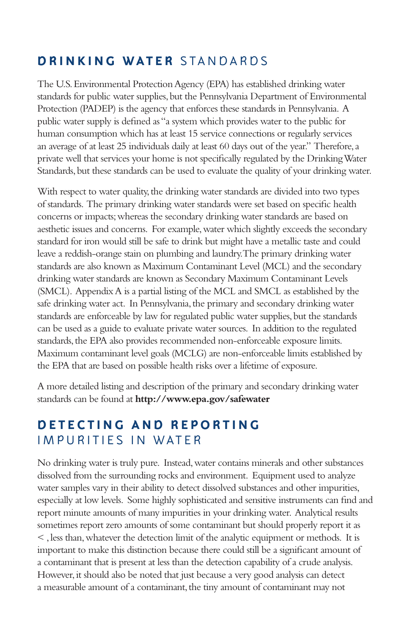# **DRINKING WATER STANDARDS**

The U.S. Environmental Protection Agency (EPA) has established drinking water standards for public water supplies, but the Pennsylvania Department of Environmental Protection (PADEP) is the agency that enforces these standards in Pennsylvania. A public water supply is defined as "a system which provides water to the public for human consumption which has at least 15 service connections or regularly services an average of at least 25 individuals daily at least 60 days out of the year." Therefore, a private well that services your home is not specifically regulated by the Drinking Water Standards, but these standards can be used to evaluate the quality of your drinking water.

With respect to water quality, the drinking water standards are divided into two types of standards. The primary drinking water standards were set based on specific health concerns or impacts; whereas the secondary drinking water standards are based on aesthetic issues and concerns. For example, water which slightly exceeds the secondary standard for iron would still be safe to drink but might have a metallic taste and could leave a reddish-orange stain on plumbing and laundry. The primary drinking water standards are also known as Maximum Contaminant Level (MCL) and the secondary drinking water standards are known as Secondary Maximum Contaminant Levels (SMCL). Appendix A is a partial listing of the MCL and SMCL as established by the safe drinking water act. In Pennsylvania, the primary and secondary drinking water standards are enforceable by law for regulated public water supplies, but the standards can be used as a guide to evaluate private water sources. In addition to the regulated standards, the EPA also provides recommended non-enforceable exposure limits. Maximum contaminant level goals (MCLG) are non-enforceable limits established by the EPA that are based on possible health risks over a lifetime of exposure.

A more detailed listing and description of the primary and secondary drinking water standards can be found at **http://www.epa.gov/safewater**

# **D E T E C T I N G A N D R E P O R T I N G IMPURITIES IN WATER**

No drinking water is truly pure. Instead, water contains minerals and other substances dissolved from the surrounding rocks and environment. Equipment used to analyze water samples vary in their ability to detect dissolved substances and other impurities, especially at low levels. Some highly sophisticated and sensitive instruments can find and report minute amounts of many impurities in your drinking water. Analytical results sometimes report zero amounts of some contaminant but should properly report it as < , less than, whatever the detection limit of the analytic equipment or methods. It is important to make this distinction because there could still be a significant amount of a contaminant that is present at less than the detection capability of a crude analysis. However, it should also be noted that just because a very good analysis can detect a measurable amount of a contaminant, the tiny amount of contaminant may not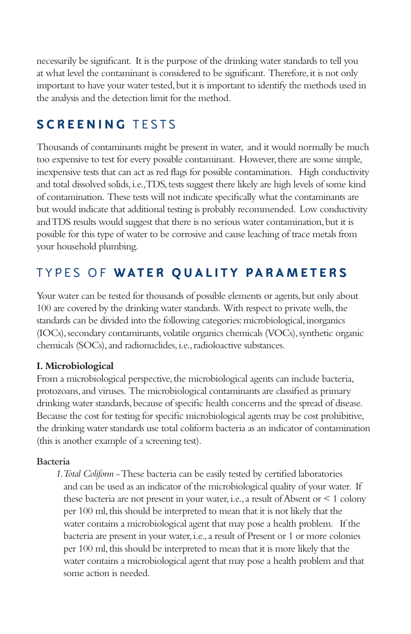necessarily be significant. It is the purpose of the drinking water standards to tell you at what level the contaminant is considered to be significant. Therefore, it is not only important to have your water tested, but it is important to identify the methods used in the analysis and the detection limit for the method.

# **SCREENING TESTS**

Thousands of contaminants might be present in water, and it would normally be much too expensive to test for every possible contaminant. However, there are some simple, inexpensive tests that can act as red flags for possible contamination. High conductivity and total dissolved solids, i.e., TDS, tests suggest there likely are high levels of some kind of contamination. These tests will not indicate specifically what the contaminants are but would indicate that additional testing is probably recommended. Low conductivity and TDS results would suggest that there is no serious water contamination, but it is possible for this type of water to be corrosive and cause leaching of trace metals from your household plumbing.

# T Y P E S O F **W A T E R Q U A L I T Y P A R A M E T E R S**

Your water can be tested for thousands of possible elements or agents, but only about 100 are covered by the drinking water standards. With respect to private wells, the standards can be divided into the following categories: microbiological, inorganics (IOCs), secondary contaminants, volatile organics chemicals (VOCs), synthetic organic chemicals (SOCs), and radionuclides, i.e., radioloactive substances.

### **I. Microbiological**

From a microbiological perspective, the microbiological agents can include bacteria, protozoans, and viruses. The microbiological contaminants are classified as primary drinking water standards, because of specific health concerns and the spread of disease. Because the cost for testing for specific microbiological agents may be cost prohibitive, the drinking water standards use total coliform bacteria as an indicator of contamination (this is another example of a screening test).

### **Bacteria**

*1. Total Coliform* - These bacteria can be easily tested by certified laboratories and can be used as an indicator of the microbiological quality of your water. If these bacteria are not present in your water, i.e., a result of Absent or < 1 colony per 100 ml, this should be interpreted to mean that it is not likely that the water contains a microbiological agent that may pose a health problem. If the bacteria are present in your water, i.e., a result of Present or 1 or more colonies per 100 ml, this should be interpreted to mean that it is more likely that the water contains a microbiological agent that may pose a health problem and that some action is needed.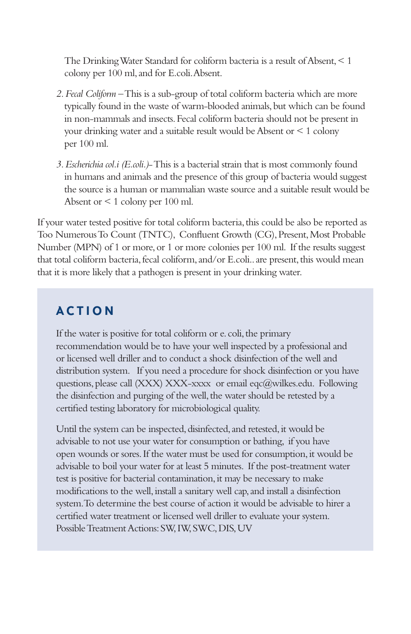The Drinking Water Standard for coliform bacteria is a result of Absent, < 1 colony per 100 ml, and for E.coli. Absent.

- *2. Fecal Coliform* This is a sub-group of total coliform bacteria which are more typically found in the waste of warm-blooded animals, but which can be found in non-mammals and insects. Fecal coliform bacteria should not be present in your drinking water and a suitable result would be Absent or < 1 colony per 100 ml.
- *3. Escherichia col.i (E.coli.)* This is a bacterial strain that is most commonly found in humans and animals and the presence of this group of bacteria would suggest the source is a human or mammalian waste source and a suitable result would be Absent or < 1 colony per 100 ml.

If your water tested positive for total coliform bacteria, this could be also be reported as Too Numerous To Count (TNTC), Confluent Growth (CG), Present, Most Probable Number (MPN) of 1 or more, or 1 or more colonies per 100 ml. If the results suggest that total coliform bacteria, fecal coliform, and/or E.coli.. are present, this would mean that it is more likely that a pathogen is present in your drinking water.

# **A C T I O N**

If the water is positive for total coliform or e. coli, the primary recommendation would be to have your well inspected by a professional and or licensed well driller and to conduct a shock disinfection of the well and distribution system. If you need a procedure for shock disinfection or you have questions, please call (XXX) XXX-xxxx or email eqc@wilkes.edu. Following the disinfection and purging of the well, the water should be retested by a certified testing laboratory for microbiological quality.

Until the system can be inspected, disinfected, and retested, it would be advisable to not use your water for consumption or bathing, if you have open wounds or sores. If the water must be used for consumption, it would be advisable to boil your water for at least 5 minutes. If the post-treatment water test is positive for bacterial contamination, it may be necessary to make modifications to the well, install a sanitary well cap, and install a disinfection system. To determine the best course of action it would be advisable to hirer a certified water treatment or licensed well driller to evaluate your system. Possible Treatment Actions: SW, IW, SWC, DIS, UV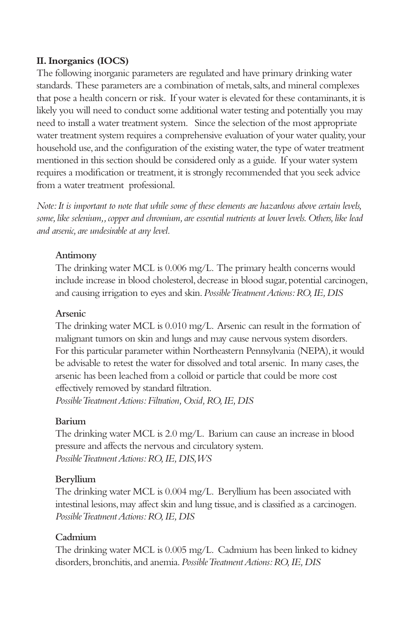### **II. Inorganics (IOCS)**

The following inorganic parameters are regulated and have primary drinking water standards. These parameters are a combination of metals, salts, and mineral complexes that pose a health concern or risk. If your water is elevated for these contaminants, it is likely you will need to conduct some additional water testing and potentially you may need to install a water treatment system. Since the selection of the most appropriate water treatment system requires a comprehensive evaluation of your water quality, your household use, and the configuration of the existing water, the type of water treatment mentioned in this section should be considered only as a guide. If your water system requires a modification or treatment, it is strongly recommended that you seek advice from a water treatment professional.

*Note: It is important to note that while some of these elements are hazardous above certain levels, some, like selenium,, copper and chromium, are essential nutrients at lower levels. Others, like lead and arsenic, are undesirable at any level.*

### **Antimony**

The drinking water MCL is 0.006 mg/L. The primary health concerns would include increase in blood cholesterol, decrease in blood sugar, potential carcinogen, and causing irrigation to eyes and skin. *Possible Treatment Actions: RO, IE, DIS*

### **Arsenic**

The drinking water MCL is 0.010 mg/L. Arsenic can result in the formation of malignant tumors on skin and lungs and may cause nervous system disorders. For this particular parameter within Northeastern Pennsylvania (NEPA), it would be advisable to retest the water for dissolved and total arsenic. In many cases, the arsenic has been leached from a colloid or particle that could be more cost effectively removed by standard filtration. *Possible Treatment Actions: Filtration, Oxid, RO, IE, DIS*

### **Barium**

The drinking water MCL is 2.0 mg/L. Barium can cause an increase in blood pressure and affects the nervous and circulatory system. *Possible Treatment Actions: RO, IE, DIS, WS*

### **Beryllium**

The drinking water MCL is 0.004 mg/L. Beryllium has been associated with intestinal lesions, may affect skin and lung tissue, and is classified as a carcinogen. *Possible Treatment Actions: RO, IE, DIS*

### **Cadmium**

The drinking water MCL is 0.005 mg/L. Cadmium has been linked to kidney disorders, bronchitis, and anemia. *Possible Treatment Actions: RO, IE, DIS*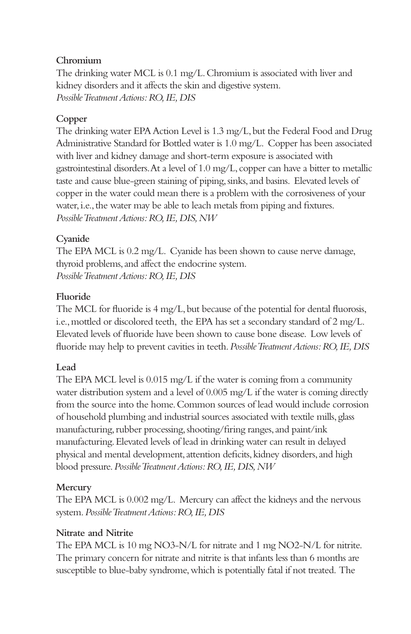### **Chromium**

The drinking water MCL is 0.1 mg/L. Chromium is associated with liver and kidney disorders and it affects the skin and digestive system. *Possible Treatment Actions: RO, IE, DIS*

### **Copper**

The drinking water EPA Action Level is 1.3 mg/L, but the Federal Food and Drug Administrative Standard for Bottled water is 1.0 mg/L. Copper has been associated with liver and kidney damage and short-term exposure is associated with gastrointestinal disorders. At a level of 1.0 mg/L, copper can have a bitter to metallic taste and cause blue-green staining of piping, sinks, and basins. Elevated levels of copper in the water could mean there is a problem with the corrosiveness of your water, i.e., the water may be able to leach metals from piping and fixtures. *Possible Treatment Actions: RO, IE, DIS, NW*

### **Cyanide**

The EPA MCL is 0.2 mg/L. Cyanide has been shown to cause nerve damage, thyroid problems, and affect the endocrine system. *Possible Treatment Actions: RO, IE, DIS*

### **Fluoride**

The MCL for fluoride is 4 mg/L, but because of the potential for dental fluorosis, i.e., mottled or discolored teeth, the EPA has set a secondary standard of 2 mg/L. Elevated levels of fluoride have been shown to cause bone disease. Low levels of fluoride may help to prevent cavities in teeth. *Possible Treatment Actions: RO, IE, DIS*

### **Lead**

The EPA MCL level is 0.015 mg/L if the water is coming from a community water distribution system and a level of 0.005 mg/L if the water is coming directly from the source into the home. Common sources of lead would include corrosion of household plumbing and industrial sources associated with textile mills, glass manufacturing, rubber processing, shooting/firing ranges, and paint/ink manufacturing. Elevated levels of lead in drinking water can result in delayed physical and mental development, attention deficits, kidney disorders, and high blood pressure. *Possible Treatment Actions: RO, IE, DIS, NW*

### **Mercury**

The EPA MCL is 0.002 mg/L. Mercury can affect the kidneys and the nervous system. *Possible Treatment Actions: RO, IE, DIS*

### **Nitrate and Nitrite**

The EPA MCL is 10 mg NO3-N/L for nitrate and 1 mg NO2-N/L for nitrite. The primary concern for nitrate and nitrite is that infants less than 6 months are susceptible to blue-baby syndrome, which is potentially fatal if not treated. The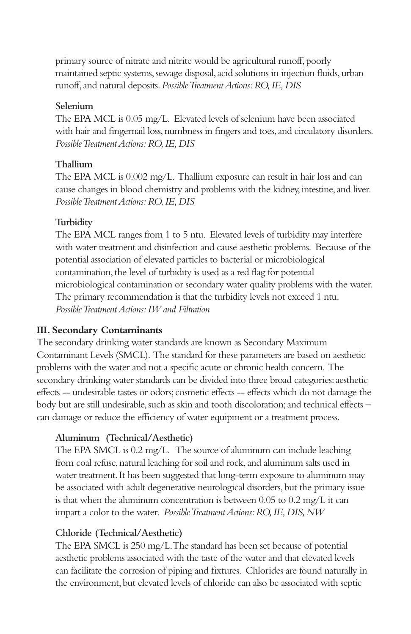primary source of nitrate and nitrite would be agricultural runoff, poorly maintained septic systems, sewage disposal, acid solutions in injection fluids, urban runoff, and natural deposits. *Possible Treatment Actions: RO, IE, DIS*

### **Selenium**

The EPA MCL is 0.05 mg/L. Elevated levels of selenium have been associated with hair and fingernail loss, numbness in fingers and toes, and circulatory disorders. *Possible Treatment Actions: RO, IE, DIS*

### **Thallium**

The EPA MCL is 0.002 mg/L. Thallium exposure can result in hair loss and can cause changes in blood chemistry and problems with the kidney, intestine, and liver. *Possible Treatment Actions: RO, IE, DIS*

### **Turbidity**

The EPA MCL ranges from 1 to 5 ntu. Elevated levels of turbidity may interfere with water treatment and disinfection and cause aesthetic problems. Because of the potential association of elevated particles to bacterial or microbiological contamination, the level of turbidity is used as a red flag for potential microbiological contamination or secondary water quality problems with the water. The primary recommendation is that the turbidity levels not exceed 1 ntu. *Possible Treatment Actions: IW and Filtration*

### **III. Secondary Contaminants**

The secondary drinking water standards are known as Secondary Maximum Contaminant Levels (SMCL). The standard for these parameters are based on aesthetic problems with the water and not a specific acute or chronic health concern. The secondary drinking water standards can be divided into three broad categories: aesthetic effects -- undesirable tastes or odors; cosmetic effects -- effects which do not damage the body but are still undesirable, such as skin and tooth discoloration; and technical effects – can damage or reduce the efficiency of water equipment or a treatment process.

### **Aluminum (Technical/Aesthetic)**

The EPA SMCL is 0.2 mg/L. The source of aluminum can include leaching from coal refuse, natural leaching for soil and rock, and aluminum salts used in water treatment. It has been suggested that long-term exposure to aluminum may be associated with adult degenerative neurological disorders, but the primary issue is that when the aluminum concentration is between 0.05 to 0.2 mg/L it can impart a color to the water. *Possible Treatment Actions: RO, IE, DIS, NW*

### **Chloride (Technical/Aesthetic)**

The EPA SMCL is 250 mg/L. The standard has been set because of potential aesthetic problems associated with the taste of the water and that elevated levels can facilitate the corrosion of piping and fixtures. Chlorides are found naturally in the environment, but elevated levels of chloride can also be associated with septic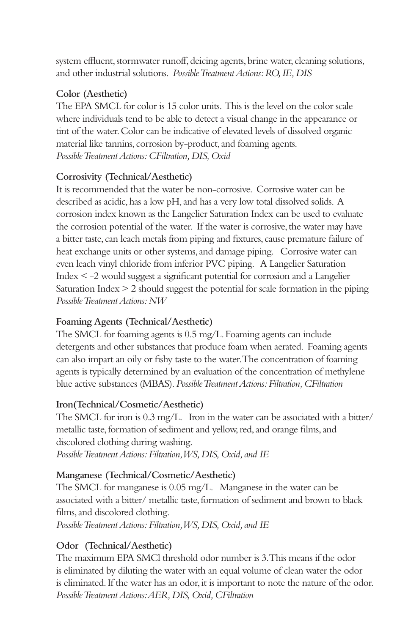system effluent, stormwater runoff, deicing agents, brine water, cleaning solutions, and other industrial solutions. *Possible Treatment Actions: RO, IE, DIS*

### **Color (Aesthetic)**

The EPA SMCL for color is 15 color units. This is the level on the color scale where individuals tend to be able to detect a visual change in the appearance or tint of the water. Color can be indicative of elevated levels of dissolved organic material like tannins, corrosion by-product, and foaming agents. *Possible Treatment Actions: CFiltration, DIS, Oxid*

### **Corrosivity (Technical/Aesthetic)**

It is recommended that the water be non-corrosive. Corrosive water can be described as acidic, has a low pH, and has a very low total dissolved solids. A corrosion index known as the Langelier Saturation Index can be used to evaluate the corrosion potential of the water. If the water is corrosive, the water may have a bitter taste, can leach metals from piping and fixtures, cause premature failure of heat exchange units or other systems, and damage piping. Corrosive water can even leach vinyl chloride from inferior PVC piping. A Langelier Saturation Index < -2 would suggest a significant potential for corrosion and a Langelier Saturation Index > 2 should suggest the potential for scale formation in the piping *Possible Treatment Actions: NW*

### **Foaming Agents (Technical/Aesthetic)**

The SMCL for foaming agents is 0.5 mg/L. Foaming agents can include detergents and other substances that produce foam when aerated. Foaming agents can also impart an oily or fishy taste to the water. The concentration of foaming agents is typically determined by an evaluation of the concentration of methylene blue active substances (MBAS). *Possible Treatment Actions: Filtration, CFiltration*

### **Iron(Technical/Cosmetic/Aesthetic)**

The SMCL for iron is 0.3 mg/L. Iron in the water can be associated with a bitter/ metallic taste, formation of sediment and yellow, red, and orange films, and discolored clothing during washing. *Possible Treatment Actions: Filtration, WS, DIS, Oxid, and IE*

### **Manganese (Technical/Cosmetic/Aesthetic)**

The SMCL for manganese is 0.05 mg/L. Manganese in the water can be associated with a bitter/ metallic taste, formation of sediment and brown to black films, and discolored clothing.

*Possible Treatment Actions: Filtration, WS, DIS, Oxid, and IE*

### **Odor (Technical/Aesthetic)**

The maximum EPA SMCl threshold odor number is 3. This means if the odor is eliminated by diluting the water with an equal volume of clean water the odor is eliminated. If the water has an odor, it is important to note the nature of the odor. *Possible Treatment Actions: AER, DIS, Oxid, CFiltration*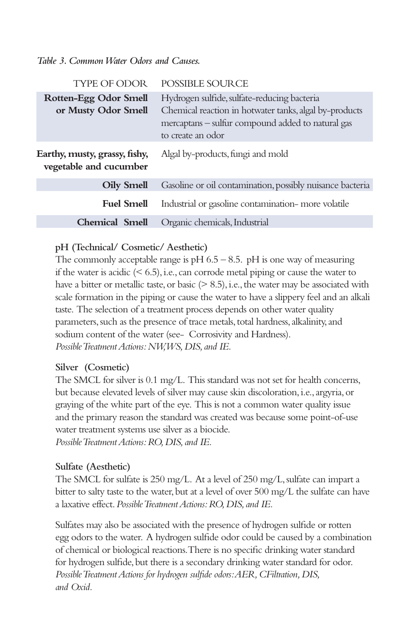### *Table 3. Common Water Odors and Causes.*

| <b>TYPE OF ODOR</b>                                     | POSSIBLE SOURCE                                                                                                                                                                 |
|---------------------------------------------------------|---------------------------------------------------------------------------------------------------------------------------------------------------------------------------------|
| Rotten-Egg Odor Smell<br>or Musty Odor Smell            | Hydrogen sulfide, sulfate-reducing bacteria<br>Chemical reaction in hotwater tanks, algal by-products<br>mercaptans - sulfur compound added to natural gas<br>to create an odor |
| Earthy, musty, grassy, fishy,<br>vegetable and cucumber | Algal by-products, fungi and mold                                                                                                                                               |
| <b>Oily Smell</b>                                       | Gasoline or oil contamination, possibly nuisance bacteria                                                                                                                       |
| <b>Fuel Smell</b>                                       | Industrial or gasoline contamination- more volatile                                                                                                                             |
| <b>Chemical Smell</b>                                   | Organic chemicals, Industrial                                                                                                                                                   |

### **pH (Technical/ Cosmetic/ Aesthetic)**

The commonly acceptable range is  $pH$  6.5 – 8.5.  $pH$  is one way of measuring if the water is acidic  $($   $\leq$   $6.5)$ , i.e., can corrode metal piping or cause the water to have a bitter or metallic taste, or basic  $(> 8.5)$ , i.e., the water may be associated with scale formation in the piping or cause the water to have a slippery feel and an alkali taste. The selection of a treatment process depends on other water quality parameters, such as the presence of trace metals, total hardness, alkalinity, and sodium content of the water (see- Corrosivity and Hardness). *Possible Treatment Actions: NW, WS, DIS, and IE.*

### **Silver (Cosmetic)**

The SMCL for silver is 0.1 mg/L. This standard was not set for health concerns, but because elevated levels of silver may cause skin discoloration, i.e., argyria, or graying of the white part of the eye. This is not a common water quality issue and the primary reason the standard was created was because some point-of-use water treatment systems use silver as a biocide. *Possible Treatment Actions: RO, DIS, and IE.*

### **Sulfate (Aesthetic)**

The SMCL for sulfate is 250 mg/L. At a level of 250 mg/L, sulfate can impart a bitter to salty taste to the water, but at a level of over 500 mg/L the sulfate can have a laxative effect. *Possible Treatment Actions: RO, DIS, and IE.*

Sulfates may also be associated with the presence of hydrogen sulfide or rotten egg odors to the water. A hydrogen sulfide odor could be caused by a combination of chemical or biological reactions. There is no specific drinking water standard for hydrogen sulfide, but there is a secondary drinking water standard for odor. *Possible Treatment Actions for hydrogen sulfide odors: AER, CFiltration, DIS, and Oxid.*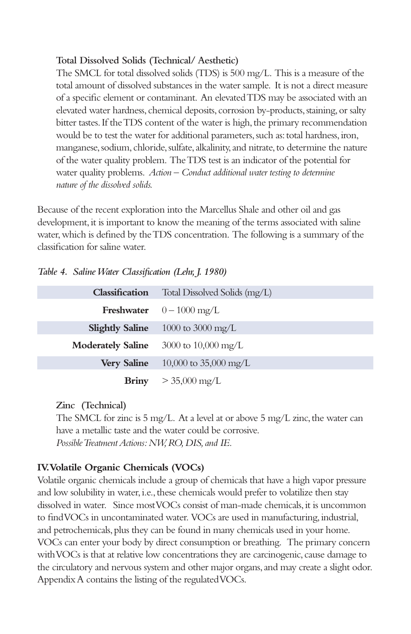### **Total Dissolved Solids (Technical/ Aesthetic)**

The SMCL for total dissolved solids (TDS) is 500 mg/L. This is a measure of the total amount of dissolved substances in the water sample. It is not a direct measure of a specific element or contaminant. An elevated TDS may be associated with an elevated water hardness, chemical deposits, corrosion by-products, staining, or salty bitter tastes. If the TDS content of the water is high, the primary recommendation would be to test the water for additional parameters, such as: total hardness, iron, manganese, sodium, chloride, sulfate, alkalinity, and nitrate, to determine the nature of the water quality problem. The TDS test is an indicator of the potential for water quality problems. *Action – Conduct additional water testing to determine nature of the dissolved solids.*

Because of the recent exploration into the Marcellus Shale and other oil and gas development, it is important to know the meaning of the terms associated with saline water, which is defined by the TDS concentration. The following is a summary of the classification for saline water.

|  | Table 4. Saline Water Classification (Lehr, J. 1980) |  |  |  |
|--|------------------------------------------------------|--|--|--|
|--|------------------------------------------------------|--|--|--|

| Classification           | Total Dissolved Solids (mg/L)           |  |
|--------------------------|-----------------------------------------|--|
|                          | <b>Freshwater</b> $0-1000 \text{ mg/L}$ |  |
| <b>Slightly Saline</b>   | 1000 to 3000 mg/L                       |  |
| <b>Moderately Saline</b> | 3000 to $10,000 \text{ mg/L}$           |  |
| <b>Very Saline</b>       | 10,000 to 35,000 mg/L                   |  |
| <b>Briny</b>             | $> 35,000$ mg/L                         |  |

**Zinc (Technical)**

The SMCL for zinc is 5 mg/L. At a level at or above 5 mg/L zinc, the water can have a metallic taste and the water could be corrosive. *Possible Treatment Actions: NW, RO, DIS, and IE.*

### **IV. Volatile Organic Chemicals (VOCs)**

Volatile organic chemicals include a group of chemicals that have a high vapor pressure and low solubility in water, i.e., these chemicals would prefer to volatilize then stay dissolved in water. Since most VOCs consist of man-made chemicals, it is uncommon to find VOCs in uncontaminated water. VOCs are used in manufacturing, industrial, and petrochemicals, plus they can be found in many chemicals used in your home. VOCs can enter your body by direct consumption or breathing. The primary concern with VOCs is that at relative low concentrations they are carcinogenic, cause damage to the circulatory and nervous system and other major organs, and may create a slight odor. Appendix A contains the listing of the regulated VOCs.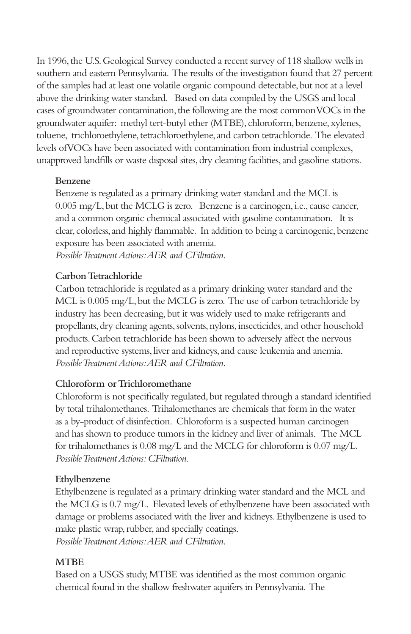In 1996, the U.S. Geological Survey conducted a recent survey of 118 shallow wells in southern and eastern Pennsylvania. The results of the investigation found that 27 percent of the samples had at least one volatile organic compound detectable, but not at a level above the drinking water standard. Based on data compiled by the USGS and local cases of groundwater contamination, the following are the most common VOCs in the groundwater aquifer: methyl tert-butyl ether (MTBE), chloroform, benzene, xylenes, toluene, trichloroethylene, tetrachloroethylene, and carbon tetrachloride. The elevated levels of VOCs have been associated with contamination from industrial complexes, unapproved landfills or waste disposal sites, dry cleaning facilities, and gasoline stations.

### **Benzene**

Benzene is regulated as a primary drinking water standard and the MCL is 0.005 mg/L, but the MCLG is zero. Benzene is a carcinogen, i.e., cause cancer, and a common organic chemical associated with gasoline contamination. It is clear, colorless, and highly flammable. In addition to being a carcinogenic, benzene exposure has been associated with anemia.

*Possible Treatment Actions: AER and CFiltration.*

### **Carbon Tetrachloride**

Carbon tetrachloride is regulated as a primary drinking water standard and the MCL is 0.005 mg/L, but the MCLG is zero. The use of carbon tetrachloride by industry has been decreasing, but it was widely used to make refrigerants and propellants, dry cleaning agents, solvents, nylons, insecticides, and other household products. Carbon tetrachloride has been shown to adversely affect the nervous and reproductive systems, liver and kidneys, and cause leukemia and anemia. *Possible Treatment Actions: AER and CFiltration.*

### **Chloroform or Trichloromethane**

Chloroform is not specifically regulated, but regulated through a standard identified by total trihalomethanes. Trihalomethanes are chemicals that form in the water as a by-product of disinfection. Chloroform is a suspected human carcinogen and has shown to produce tumors in the kidney and liver of animals. The MCL for trihalomethanes is 0.08 mg/L and the MCLG for chloroform is 0.07 mg/L. *Possible Treatment Actions: CFiltration.*

### **Ethylbenzene**

Ethylbenzene is regulated as a primary drinking water standard and the MCL and the MCLG is 0.7 mg/L. Elevated levels of ethylbenzene have been associated with damage or problems associated with the liver and kidneys. Ethylbenzene is used to make plastic wrap, rubber, and specially coatings.

*Possible Treatment Actions: AER and CFiltration.*

### **MTBE**

Based on a USGS study, MTBE was identified as the most common organic chemical found in the shallow freshwater aquifers in Pennsylvania. The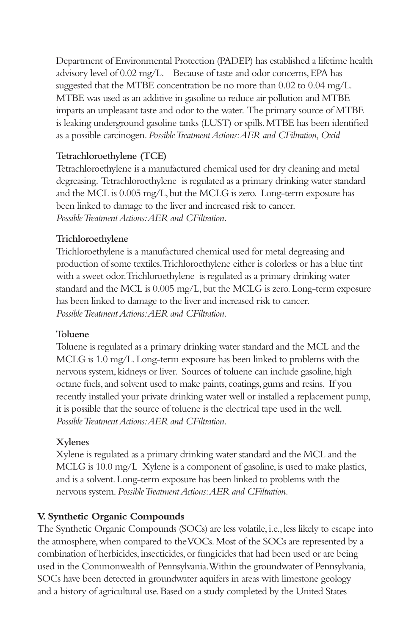Department of Environmental Protection (PADEP) has established a lifetime health advisory level of 0.02 mg/L. Because of taste and odor concerns, EPA has suggested that the MTBE concentration be no more than 0.02 to 0.04 mg/L. MTBE was used as an additive in gasoline to reduce air pollution and MTBE imparts an unpleasant taste and odor to the water. The primary source of MTBE is leaking underground gasoline tanks (LUST) or spills. MTBE has been identified as a possible carcinogen. *Possible Treatment Actions: AER and CFiltration, Oxid*

### **Tetrachloroethylene (TCE)**

Tetrachloroethylene is a manufactured chemical used for dry cleaning and metal degreasing. Tetrachloroethylene is regulated as a primary drinking water standard and the MCL is 0.005 mg/L, but the MCLG is zero. Long-term exposure has been linked to damage to the liver and increased risk to cancer. *Possible Treatment Actions: AER and CFiltration.*

### **Trichloroethylene**

Trichloroethylene is a manufactured chemical used for metal degreasing and production of some textiles. Trichloroethylene either is colorless or has a blue tint with a sweet odor. Trichloroethylene is regulated as a primary drinking water standard and the MCL is 0.005 mg/L, but the MCLG is zero. Long-term exposure has been linked to damage to the liver and increased risk to cancer. *Possible Treatment Actions: AER and CFiltration.*

### **Toluene**

Toluene is regulated as a primary drinking water standard and the MCL and the MCLG is 1.0 mg/L. Long-term exposure has been linked to problems with the nervous system, kidneys or liver. Sources of toluene can include gasoline, high octane fuels, and solvent used to make paints, coatings, gums and resins. If you recently installed your private drinking water well or installed a replacement pump, it is possible that the source of toluene is the electrical tape used in the well. *Possible Treatment Actions: AER and CFiltration.*

### **Xylenes**

Xylene is regulated as a primary drinking water standard and the MCL and the MCLG is 10.0 mg/L Xylene is a component of gasoline, is used to make plastics, and is a solvent. Long-term exposure has been linked to problems with the nervous system. *Possible Treatment Actions: AER and CFiltration.*

### **V. Synthetic Organic Compounds**

The Synthetic Organic Compounds (SOCs) are less volatile, i.e., less likely to escape into the atmosphere, when compared to the VOCs. Most of the SOCs are represented by a combination of herbicides, insecticides, or fungicides that had been used or are being used in the Commonwealth of Pennsylvania. Within the groundwater of Pennsylvania, SOCs have been detected in groundwater aquifers in areas with limestone geology and a history of agricultural use. Based on a study completed by the United States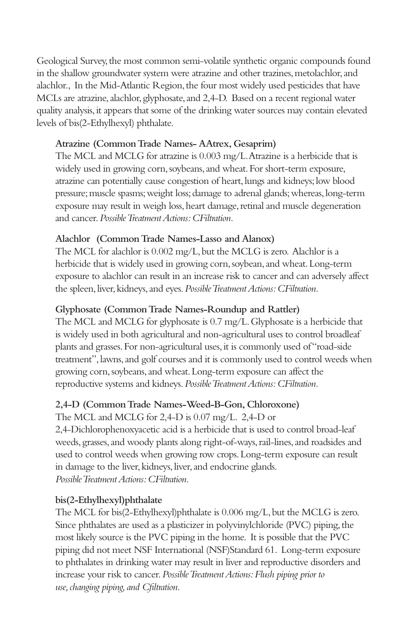Geological Survey, the most common semi-volatile synthetic organic compounds found in the shallow groundwater system were atrazine and other trazines, metolachlor, and alachlor., In the Mid-Atlantic Region, the four most widely used pesticides that have MCLs are atrazine, alachlor, glyphosate, and 2,4-D. Based on a recent regional water quality analysis, it appears that some of the drinking water sources may contain elevated levels of bis(2-Ethylhexyl) phthalate.

### **Atrazine (Common Trade Names- AAtrex, Gesaprim)**

The MCL and MCLG for atrazine is 0.003 mg/L. Atrazine is a herbicide that is widely used in growing corn, soybeans, and wheat. For short-term exposure, atrazine can potentially cause congestion of heart, lungs and kidneys; low blood pressure; muscle spasms; weight loss; damage to adrenal glands; whereas, long-term exposure may result in weigh loss, heart damage, retinal and muscle degeneration and cancer. *Possible Treatment Actions: CFiltration.*

### **Alachlor (Common Trade Names-Lasso and Alanox)**

The MCL for alachlor is 0.002 mg/L, but the MCLG is zero. Alachlor is a herbicide that is widely used in growing corn, soybean, and wheat. Long-term exposure to alachlor can result in an increase risk to cancer and can adversely affect the spleen, liver, kidneys, and eyes. *Possible Treatment Actions: CFiltration.*

### **Glyphosate (Common Trade Names-Roundup and Rattler)**

The MCL and MCLG for glyphosate is 0.7 mg/L. Glyphosate is a herbicide that is widely used in both agricultural and non-agricultural uses to control broadleaf plants and grasses. For non-agricultural uses, it is commonly used of "road-side treatment", lawns, and golf courses and it is commonly used to control weeds when growing corn, soybeans, and wheat. Long-term exposure can affect the reproductive systems and kidneys. *Possible Treatment Actions: CFiltration.*

### **2,4-D (Common Trade Names-Weed-B-Gon, Chloroxone)**

The MCL and MCLG for 2,4-D is 0.07 mg/L. 2,4-D or 2,4-Dichlorophenoxyacetic acid is a herbicide that is used to control broad-leaf weeds, grasses, and woody plants along right-of-ways, rail-lines, and roadsides and used to control weeds when growing row crops. Long-term exposure can result in damage to the liver, kidneys, liver, and endocrine glands. *Possible Treatment Actions: CFiltration.*

### **bis(2-Ethylhexyl)phthalate**

The MCL for bis(2-Ethylhexyl)phthalate is 0.006 mg/L, but the MCLG is zero. Since phthalates are used as a plasticizer in polyvinylchloride (PVC) piping, the most likely source is the PVC piping in the home. It is possible that the PVC piping did not meet NSF International (NSF)Standard 61. Long-term exposure to phthalates in drinking water may result in liver and reproductive disorders and increase your risk to cancer. *Possible Treatment Actions: Flush piping prior to use, changing piping, and Cfiltration.*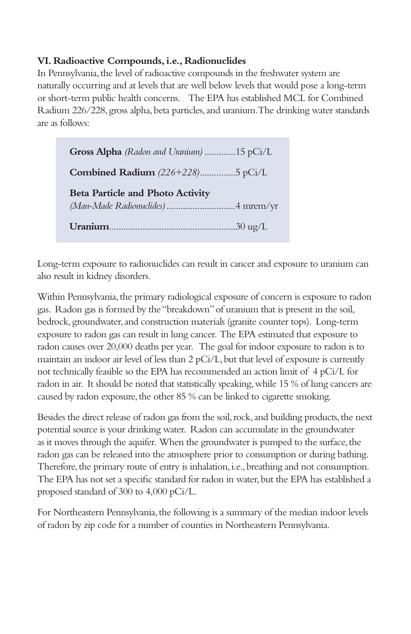### **VI. Radioactive Compounds, i.e., Radionuclides**

In Pennsylvania, the level of radioactive compounds in the freshwater system are naturally occurring and at levels that are well below levels that would pose a long-term or short-term public health concerns. The EPA has established MCL for Combined Radium 226/228, gross alpha, beta particles, and uranium. The drinking water standards are as follows:

**Gross Alpha** *(Radon and Uranium)* .............15 pCi/L **Combined Radium** *(226+228)*...............5 pCi/L **Beta Particle and Photo Activity** *(Man-Made Radionuclides)*.............................4 mrem/yr **Uranium**.....................................................30 ug/L

Long-term exposure to radionuclides can result in cancer and exposure to uranium can also result in kidney disorders.

Within Pennsylvania, the primary radiological exposure of concern is exposure to radon gas. Radon gas is formed by the "breakdown" of uranium that is present in the soil, bedrock, groundwater, and construction materials (granite counter tops). Long-term exposure to radon gas can result in lung cancer. The EPA estimated that exposure to radon causes over 20,000 deaths per year. The goal for indoor exposure to radon is to maintain an indoor air level of less than 2 pCi/L, but that level of exposure is currently not technically feasible so the EPA has recommended an action limit of 4 pCi/L for radon in air. It should be noted that statistically speaking, while 15 % of lung cancers are caused by radon exposure, the other 85 % can be linked to cigarette smoking.

Besides the direct release of radon gas from the soil, rock, and building products, the next potential source is your drinking water. Radon can accumulate in the groundwater as it moves through the aquifer. When the groundwater is pumped to the surface, the radon gas can be released into the atmosphere prior to consumption or during bathing. Therefore, the primary route of entry is inhalation, i.e., breathing and not consumption. The EPA has not set a specific standard for radon in water, but the EPA has established a proposed standard of 300 to 4,000 pCi/L.

For Northeastern Pennsylvania, the following is a summary of the median indoor levels of radon by zip code for a number of counties in Northeastern Pennsylvania.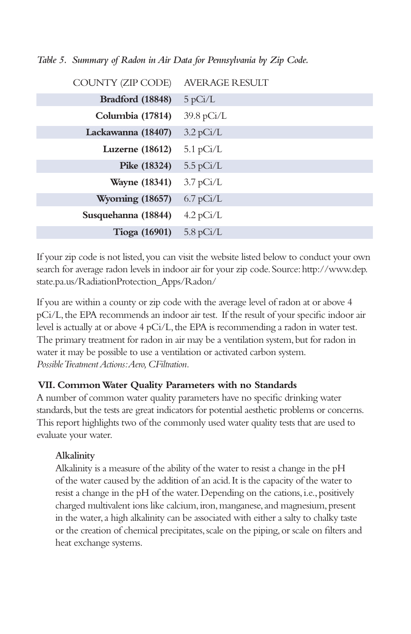| COUNTY (ZIP CODE)      | <b>AVERAGE RESULT</b> |
|------------------------|-----------------------|
| Bradford (18848)       | 5 pCi/L               |
| Columbia (17814)       | $39.8 \text{ pCi/L}$  |
| Lackawanna (18407)     | $3.2 \text{ pCi/L}$   |
| Luzerne $(18612)$      | $5.1 \text{ pCi/L}$   |
| Pike (18324)           | $5.5 \text{ pCi/L}$   |
| <b>Wayne</b> (18341)   | $3.7 \text{ pCi/L}$   |
| <b>Wyoming (18657)</b> | $6.7$ pCi/L           |
| Susquehanna (18844)    | $4.2$ pCi/L           |
| Tioga $(16901)$        | $5.8 \text{ pCi/L}$   |

*Table 5. Summary of Radon in Air Data for Pennsylvania by Zip Code.*

If your zip code is not listed, you can visit the website listed below to conduct your own search for average radon levels in indoor air for your zip code. Source: http://www.dep. state.pa.us/RadiationProtection\_Apps/Radon/

If you are within a county or zip code with the average level of radon at or above 4 pCi/L, the EPA recommends an indoor air test. If the result of your specific indoor air level is actually at or above 4 pCi/L, the EPA is recommending a radon in water test. The primary treatment for radon in air may be a ventilation system, but for radon in water it may be possible to use a ventilation or activated carbon system. *Possible Treatment Actions: Aero, CFiltration.*

### **VII. Common Water Quality Parameters with no Standards**

A number of common water quality parameters have no specific drinking water standards, but the tests are great indicators for potential aesthetic problems or concerns. This report highlights two of the commonly used water quality tests that are used to evaluate your water.

### **Alkalinity**

Alkalinity is a measure of the ability of the water to resist a change in the pH of the water caused by the addition of an acid. It is the capacity of the water to resist a change in the pH of the water. Depending on the cations, i.e., positively charged multivalent ions like calcium, iron, manganese, and magnesium, present in the water, a high alkalinity can be associated with either a salty to chalky taste or the creation of chemical precipitates, scale on the piping, or scale on filters and heat exchange systems.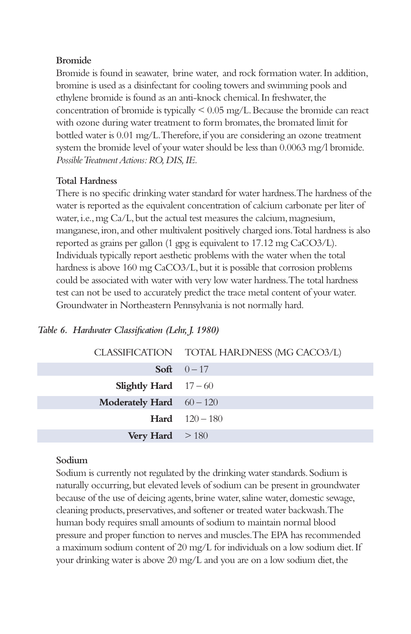### **Bromide**

Bromide is found in seawater, brine water, and rock formation water. In addition, bromine is used as a disinfectant for cooling towers and swimming pools and ethylene bromide is found as an anti-knock chemical. In freshwater, the concentration of bromide is typically < 0.05 mg/L. Because the bromide can react with ozone during water treatment to form bromates, the bromated limit for bottled water is 0.01 mg/L. Therefore, if you are considering an ozone treatment system the bromide level of your water should be less than 0.0063 mg/l bromide. *Possible Treatment Actions: RO, DIS, IE.*

### **Total Hardness**

There is no specific drinking water standard for water hardness. The hardness of the water is reported as the equivalent concentration of calcium carbonate per liter of water, i.e., mg Ca/L, but the actual test measures the calcium, magnesium, manganese, iron, and other multivalent positively charged ions. Total hardness is also reported as grains per gallon (1 gpg is equivalent to 17.12 mg CaCO3/L). Individuals typically report aesthetic problems with the water when the total hardness is above 160 mg CaCO3/L, but it is possible that corrosion problems could be associated with water with very low water hardness. The total hardness test can not be used to accurately predict the trace metal content of your water. Groundwater in Northeastern Pennsylvania is not normally hard.

### *Table 6. Hardwater Classification (Lehr, J. 1980)*

### **Sodium**

Sodium is currently not regulated by the drinking water standards. Sodium is naturally occurring, but elevated levels of sodium can be present in groundwater because of the use of deicing agents, brine water, saline water, domestic sewage, cleaning products, preservatives, and softener or treated water backwash. The human body requires small amounts of sodium to maintain normal blood pressure and proper function to nerves and muscles. The EPA has recommended a maximum sodium content of 20 mg/L for individuals on a low sodium diet. If your drinking water is above 20 mg/L and you are on a low sodium diet, the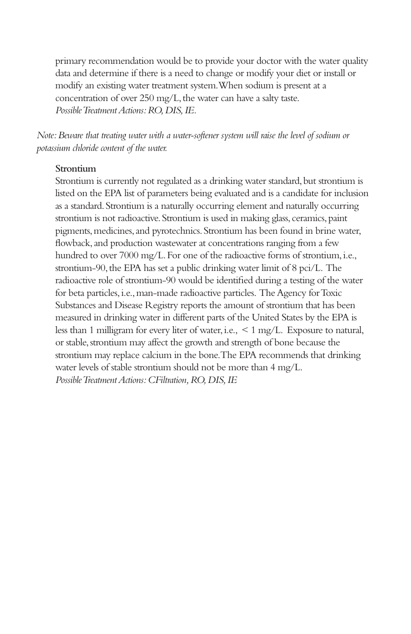primary recommendation would be to provide your doctor with the water quality data and determine if there is a need to change or modify your diet or install or modify an existing water treatment system. When sodium is present at a concentration of over 250 mg/L, the water can have a salty taste. *Possible Treatment Actions: RO, DIS, IE.*

*Note: Beware that treating water with a water-softener system will raise the level of sodium or potassium chloride content of the water.* 

### **Strontium**

Strontium is currently not regulated as a drinking water standard, but strontium is listed on the EPA list of parameters being evaluated and is a candidate for inclusion as a standard. Strontium is a naturally occurring element and naturally occurring strontium is not radioactive. Strontium is used in making glass, ceramics, paint pigments, medicines, and pyrotechnics. Strontium has been found in brine water, flowback, and production wastewater at concentrations ranging from a few hundred to over 7000 mg/L. For one of the radioactive forms of strontium, i.e., strontium-90, the EPA has set a public drinking water limit of 8 pci/L. The radioactive role of strontium-90 would be identified during a testing of the water for beta particles, i.e., man-made radioactive particles. The Agency for Toxic Substances and Disease Registry reports the amount of strontium that has been measured in drinking water in different parts of the United States by the EPA is less than 1 milligram for every liter of water, i.e., < 1 mg/L. Exposure to natural, or stable, strontium may affect the growth and strength of bone because the strontium may replace calcium in the bone. The EPA recommends that drinking water levels of stable strontium should not be more than 4 mg/L. *Possible Treatment Actions: CFiltration, RO, DIS, IE*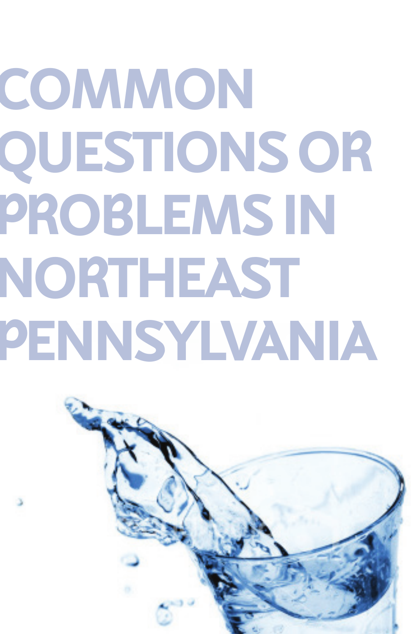# **COMMON QUESTIONS OR PROBLEMS IN NORTHEAST PENNSYLVANIA**

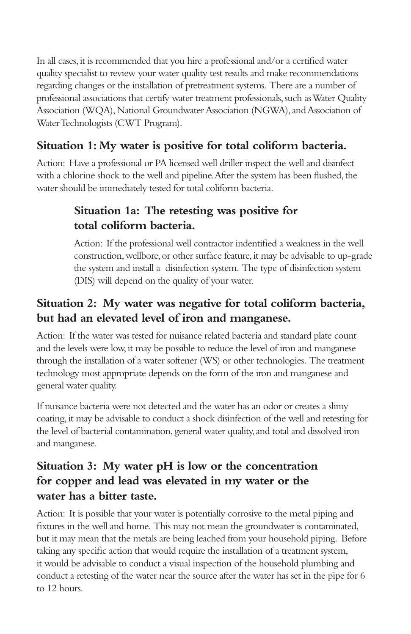In all cases, it is recommended that you hire a professional and/or a certified water quality specialist to review your water quality test results and make recommendations regarding changes or the installation of pretreatment systems. There are a number of professional associations that certify water treatment professionals, such as Water Quality Association (WQA), National Groundwater Association (NGWA), and Association of Water Technologists (CWT Program).

# **Situation 1: My water is positive for total coliform bacteria.**

Action: Have a professional or PA licensed well driller inspect the well and disinfect with a chlorine shock to the well and pipeline. After the system has been flushed, the water should be immediately tested for total coliform bacteria.

# **Situation 1a: The retesting was positive for total coliform bacteria.**

Action: If the professional well contractor indentified a weakness in the well construction, wellbore, or other surface feature, it may be advisable to up-grade the system and install a disinfection system. The type of disinfection system (DIS) will depend on the quality of your water.

# **Situation 2: My water was negative for total coliform bacteria, but had an elevated level of iron and manganese.**

Action: If the water was tested for nuisance related bacteria and standard plate count and the levels were low, it may be possible to reduce the level of iron and manganese through the installation of a water softener (WS) or other technologies. The treatment technology most appropriate depends on the form of the iron and manganese and general water quality.

If nuisance bacteria were not detected and the water has an odor or creates a slimy coating, it may be advisable to conduct a shock disinfection of the well and retesting for the level of bacterial contamination, general water quality, and total and dissolved iron and manganese.

# **Situation 3: My water pH is low or the concentration for copper and lead was elevated in my water or the water has a bitter taste.**

Action: It is possible that your water is potentially corrosive to the metal piping and fixtures in the well and home. This may not mean the groundwater is contaminated, but it may mean that the metals are being leached from your household piping. Before taking any specific action that would require the installation of a treatment system, it would be advisable to conduct a visual inspection of the household plumbing and conduct a retesting of the water near the source after the water has set in the pipe for 6 to 12 hours.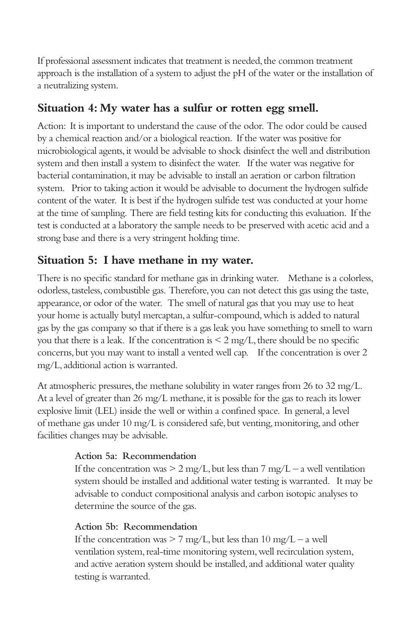If professional assessment indicates that treatment is needed, the common treatment approach is the installation of a system to adjust the pH of the water or the installation of a neutralizing system.

### **Situation 4: My water has a sulfur or rotten egg smell.**

Action: It is important to understand the cause of the odor. The odor could be caused by a chemical reaction and/or a biological reaction. If the water was positive for microbiological agents, it would be advisable to shock disinfect the well and distribution system and then install a system to disinfect the water. If the water was negative for bacterial contamination, it may be advisable to install an aeration or carbon filtration system. Prior to taking action it would be advisable to document the hydrogen sulfide content of the water. It is best if the hydrogen sulfide test was conducted at your home at the time of sampling. There are field testing kits for conducting this evaluation. If the test is conducted at a laboratory the sample needs to be preserved with acetic acid and a strong base and there is a very stringent holding time.

### **Situation 5: I have methane in my water.**

There is no specific standard for methane gas in drinking water. Methane is a colorless, odorless, tasteless, combustible gas. Therefore, you can not detect this gas using the taste, appearance, or odor of the water. The smell of natural gas that you may use to heat your home is actually butyl mercaptan, a sulfur-compound, which is added to natural gas by the gas company so that if there is a gas leak you have something to smell to warn you that there is a leak. If the concentration is  $\leq 2 \text{ mg/L}$ , there should be no specific concerns, but you may want to install a vented well cap. If the concentration is over 2 mg/L, additional action is warranted.

At atmospheric pressures, the methane solubility in water ranges from 26 to 32 mg/L. At a level of greater than 26 mg/L methane, it is possible for the gas to reach its lower explosive limit (LEL) inside the well or within a confined space. In general, a level of methane gas under 10 mg/L is considered safe, but venting, monitoring, and other facilities changes may be advisable.

### **Action 5a: Recommendation**

If the concentration was  $> 2$  mg/L, but less than  $7 \text{ mg/L} - a$  well ventilation system should be installed and additional water testing is warranted. It may be advisable to conduct compositional analysis and carbon isotopic analyses to determine the source of the gas.

### **Action 5b: Recommendation**

If the concentration was  $> 7$  mg/L, but less than  $10$  mg/L – a well ventilation system, real-time monitoring system, well recirculation system, and active aeration system should be installed, and additional water quality testing is warranted.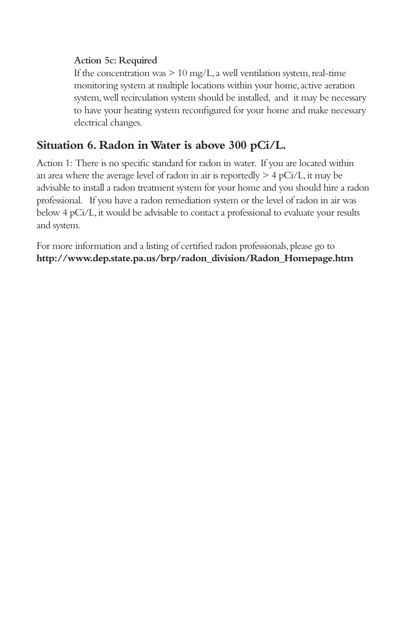### **Action 5c: Required**

If the concentration was  $> 10 \text{ mg/L}$ , a well ventilation system, real-time monitoring system at multiple locations within your home, active aeration system, well recirculation system should be installed, and it may be necessary to have your heating system reconfigured for your home and make necessary electrical changes.

# **Situation 6. Radon in Water is above 300 pCi/L.**

Action 1: There is no specific standard for radon in water. If you are located within an area where the average level of radon in air is reportedly  $> 4 pCi/L$ , it may be advisable to install a radon treatment system for your home and you should hire a radon professional. If you have a radon remediation system or the level of radon in air was below 4 pCi/L, it would be advisable to contact a professional to evaluate your results and system.

For more information and a listing of certified radon professionals, please go to **http://www.dep.state.pa.us/brp/radon\_division/Radon\_Homepage.htm**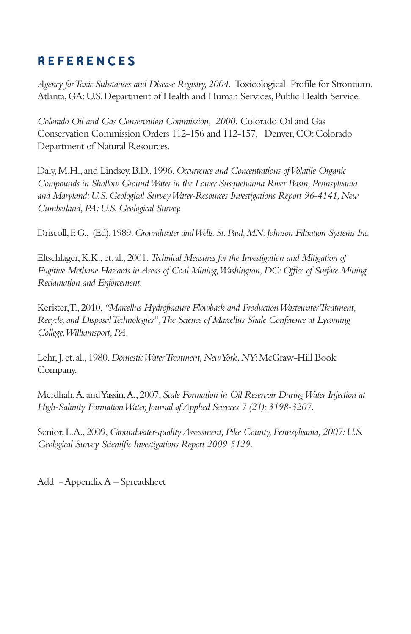# **R E F E R E N C E S**

*Agency for Toxic Substances and Disease Registry, 2004.* Toxicological Profile for Strontium. Atlanta, GA: U.S. Department of Health and Human Services, Public Health Service.

*Colorado Oil and Gas Conservation Commission, 2000.* Colorado Oil and Gas Conservation Commission Orders 112-156 and 112-157, Denver, CO: Colorado Department of Natural Resources.

Daly, M.H., and Lindsey, B.D., 1996, *Occurrence and Concentrations of Volatile Organic Compounds in Shallow Ground Water in the Lower Susquehanna River Basin, Pennsylvania and Maryland: U.S. Geological Survey Water-Resources Investigations Report 96-4141, New Cumberland, PA: U.S. Geological Survey.*

Driscoll, F. G., (Ed). 1989. *Groundwater and Wells. St. Paul, MN: Johnson Filtration Systems Inc.*

Eltschlager, K.K., et. al., 2001. *Technical Measures for the Investigation and Mitigation of Fugitive Methane Hazards in Areas of Coal Mining, Washington, DC: Office of Surface Mining Reclamation and Enforcement.*

Kerister, T., 2010, *"Marcellus Hydrofracture Flowback and Production Wastewater Treatment, Recycle, and Disposal Technologies", The Science of Marcellus Shale Conference at Lycoming College, Williamsport, PA.*

Lehr, J. et. al., 1980. *Domestic Water Treatment, New York, NY*: McGraw-Hill Book Company.

Merdhah, A. and Yassin, A., 2007, *Scale Formation in Oil Reservoir During Water Injection at High-Salinity Formation Water, Journal of Applied Sciences 7 (21): 3198-3207.*

Senior, L.A., 2009, *Groundwater-quality Assessment, Pike County, Pennsylvania, 2007: U.S. Geological Survey Scientific Investigations Report 2009-5129.*

Add - Appendix A – Spreadsheet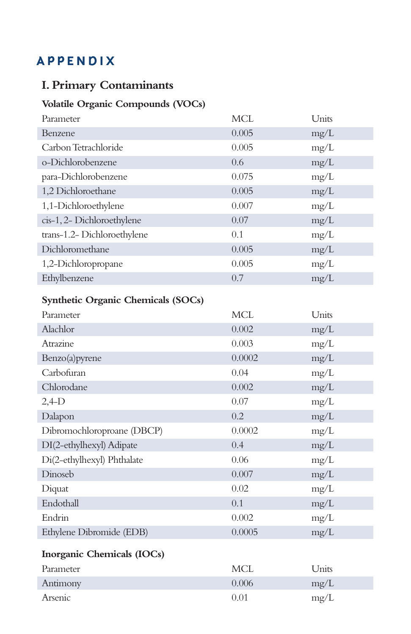# **A P P E N D I X**

# **I. Primary Contaminants**

# **Volatile Organic Compounds (VOCs)**

| <b>MCL</b> | Units |
|------------|-------|
| 0.005      | mg/L  |
| 0.005      | mg/L  |
| 0.6        | mg/L  |
| 0.075      | mg/L  |
| 0.005      | mg/L  |
| 0.007      | mg/L  |
| 0.07       | mg/L  |
| 0.1        | mg/L  |
| 0.005      | mg/L  |
| 0.005      | mg/L  |
| 0.7        | mg/L  |
|            |       |

### **Synthetic Organic Chemicals (SOCs)**

| Parameter                  | <b>MCL</b> | Units |
|----------------------------|------------|-------|
| Alachlor                   | 0.002      | mg/L  |
| Atrazine                   | 0.003      | mg/L  |
| Benzo(a)pyrene             | 0.0002     | mg/L  |
| Carbofuran                 | 0.04       | mg/L  |
| Chlorodane                 | 0.002      | mg/L  |
| $2,4-D$                    | 0.07       | mg/L  |
| Dalapon                    | 0.2        | mg/L  |
| Dibromochloroproane (DBCP) | 0.0002     | mg/L  |
| DI(2-ethylhexyl) Adipate   | 0.4        | mg/L  |
| Di(2-ethylhexyl) Phthalate | 0.06       | mg/L  |
| Dinoseb                    | 0.007      | mg/L  |
| Diquat                     | 0.02       | mg/L  |
| Endothall                  | 0.1        | mg/L  |
| Endrin                     | 0.002      | mg/L  |
| Ethylene Dibromide (EDB)   | 0.0005     | mg/L  |
| Inorganic Chemicals (IOCs) |            |       |
| Parameter                  | <b>MCL</b> | Units |
| Antimony                   | 0.006      | mg/L  |
| Arsenic                    | 0.01       | mg/L  |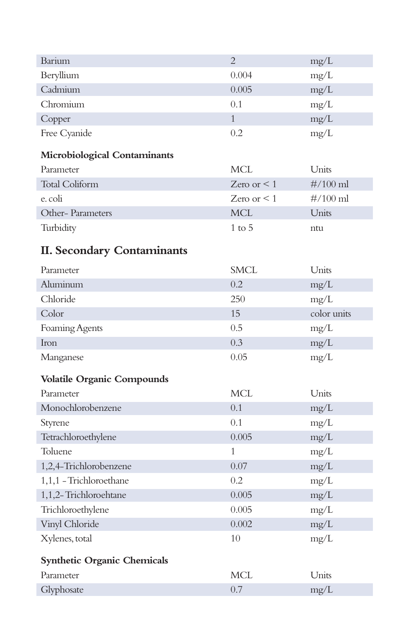| Barium                              | $\overline{2}$   | mg/L        |
|-------------------------------------|------------------|-------------|
| Beryllium                           | 0.004            | mg/L        |
| Cadmium                             | 0.005            | mg/L        |
| Chromium                            | 0.1              | mg/L        |
| Copper                              | $\mathbf{1}$     | mg/L        |
| Free Cyanide                        | 0.2              | mg/L        |
| <b>Microbiological Contaminants</b> |                  |             |
| Parameter                           | <b>MCL</b>       | Units       |
| <b>Total Coliform</b>               | Zero or $\leq 1$ | $\#/100$ ml |
| e. coli                             | Zero or $\leq 1$ | $\#/100$ ml |
| Other-Parameters                    | <b>MCL</b>       | Units       |
| Turbidity                           | $1$ to $5$       | ntu         |
|                                     |                  |             |
| <b>II. Secondary Contaminants</b>   |                  |             |
| Parameter                           | SMCL             | Units       |
| Aluminum                            | 0.2              | mg/L        |
| Chloride                            | 250              | mg/L        |
| Color                               | 15               | color units |
| Foaming Agents                      | 0.5              | mg/L        |
| Iron                                | 0.3              | mg/L        |
| Manganese                           | 0.05             | mg/L        |
| <b>Volatile Organic Compounds</b>   |                  |             |
| Parameter                           | <b>MCL</b>       | Units       |
| Monochlorobenzene                   | 0.1              | mg/L        |
| Styrene                             | 0.1              | mg/L        |
| Tetrachloroethylene                 | 0.005            | mg/L        |
| Toluene                             | 1                | mg/L        |
| 1,2,4-Trichlorobenzene              | 0.07             | mg/L        |
| 1,1,1 - Trichloroethane             | 0.2              | mg/L        |
| 1,1,2-Trichloroehtane               | 0.005            | mg/L        |
| Trichloroethylene                   | 0.005            | mg/L        |
| Vinyl Chloride                      | 0.002            | mg/L        |
| Xylenes, total                      | 10               | mg/L        |
| <b>Synthetic Organic Chemicals</b>  |                  |             |
| Parameter                           | <b>MCL</b>       | Units       |
| Glyphosate                          | 0.7              | mg/L        |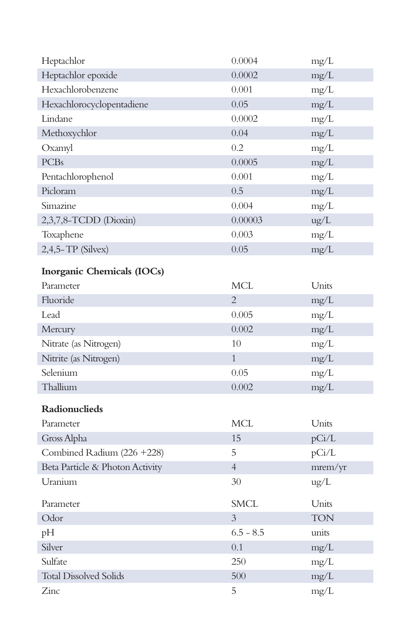| Heptachlor                      | 0.0004         | mg/L          |
|---------------------------------|----------------|---------------|
| Heptachlor epoxide              | 0.0002         | mg/L          |
| Hexachlorobenzene               | 0.001          | mg/L          |
| Hexachlorocyclopentadiene       | 0.05           | mg/L          |
| Lindane                         | 0.0002         | mg/L          |
| Methoxychlor                    | 0.04           | mg/L          |
| Oxamyl                          | 0.2            | mg/L          |
| <b>PCBs</b>                     | 0.0005         | mg/L          |
| Pentachlorophenol               | 0.001          | mg/L          |
| Picloram                        | 0.5            | mg/L          |
| Simazine                        | 0.004          | mg/L          |
| 2,3,7,8-TCDD (Dioxin)           | 0.00003        | $\text{ug/L}$ |
| Toxaphene                       | 0.003          | mg/L          |
| $2,4,5$ -TP (Silvex)            | 0.05           | mg/L          |
| Inorganic Chemicals (IOCs)      |                |               |
| Parameter                       | MCL            | Units         |
| Fluoride                        | $\overline{2}$ | mg/L          |
| Lead                            | 0.005          | mg/L          |
| Mercury                         | 0.002          | mg/L          |
| Nitrate (as Nitrogen)           | 10             | mg/L          |
| Nitrite (as Nitrogen)           | $\mathbf{1}$   | mg/L          |
| Selenium                        | 0.05           | mg/L          |
| Thallium                        | 0.002          | mg/L          |
| Radionuclieds                   |                |               |
| Parameter                       | MCL            | Units         |
| Gross Alpha                     | 15             | pCi/L         |
| Combined Radium (226 + 228)     | 5              | pCi/L         |
| Beta Particle & Photon Activity | $\overline{4}$ | mrem/yr       |
| Uranium                         | 30             | $\text{ug/L}$ |
|                                 |                |               |
| Parameter                       | <b>SMCL</b>    | Units         |
| Odor                            | 3              | <b>TON</b>    |
| pH                              | $6.5 - 8.5$    | units         |
| Silver                          | 0.1            | mg/L          |
| Sulfate                         | 250            | mg/L          |
| <b>Total Dissolved Solids</b>   | 500            | mg/L          |
| Zinc                            | 5              | mg/L          |